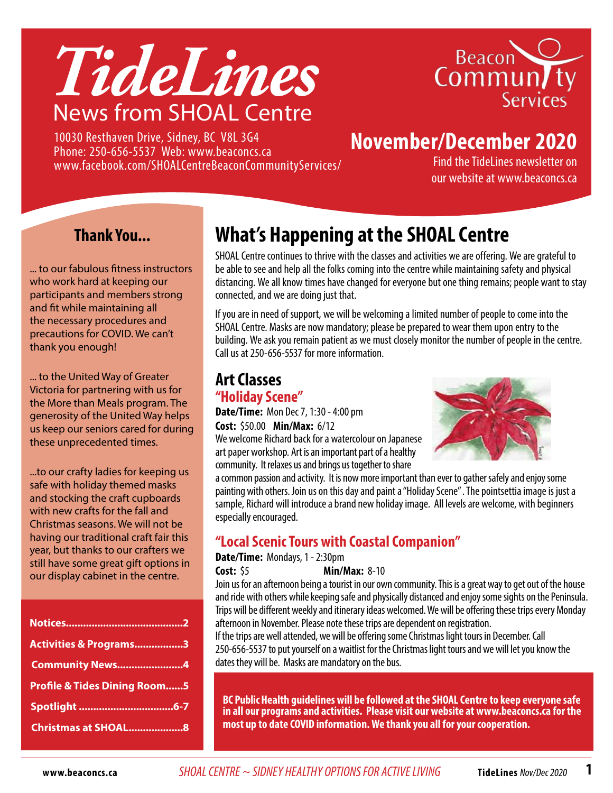



10030 Resthaven Drive, Sidney, BC V8L 3G4 Phone: 250-656-5537 Web: www.beaconcs.ca www.facebook.com/SHOALCentreBeaconCommunityServices/

# **November/December 2020**

Find the TideLines newsletter on our website at www.beaconcs.ca

#### **Thank You...**

... to our fabulous fitness instructors who work hard at keeping our participants and members strong and fit while maintaining all the necessary procedures and precautions for COVID. We can't thank you enough!

... to the United Way of Greater Victoria for partnering with us for the More than Meals program. The generosity of the United Way helps us keep our seniors cared for during these unprecedented times.

...to our crafty ladies for keeping us safe with holiday themed masks and stocking the craft cupboards with new crafts for the fall and Christmas seasons. We will not be having our traditional craft fair this year, but thanks to our crafters we still have some great gift options in our display cabinet in the centre.

# **What's Happening at the SHOAL Centre**

SHOAL Centre continues to thrive with the classes and activities we are offering. We are grateful to be able to see and help all the folks coming into the centre while maintaining safety and physical distancing. We all know times have changed for everyone but one thing remains; people want to stay connected, and we are doing just that.

If you are in need of support, we will be welcoming a limited number of people to come into the SHOAL Centre. Masks are now mandatory; please be prepared to wear them upon entry to the building. We ask you remain patient as we must closely monitor the number of people in the centre. Call us at 250-656-5537 for more information.

#### **Art Classes "Holiday Scene"**

**Date/Time:** Mon Dec 7, 1:30 - 4:00 pm **Cost:** \$50.00 **Min/Max:** 6/12

We welcome Richard back for a watercolour on Japanese art paper workshop. Art is an important part of a healthy community. It relaxes us and brings us together to share



a common passion and activity. It is now more important than ever to gather safely and enjoy some painting with others. Join us on this day and paint a "Holiday Scene" . The pointsettia image is just a sample, Richard will introduce a brand new holiday image. All levels are welcome, with beginners especially encouraged.

#### **"Local Scenic Tours with Coastal Companion"**

**Date/Time:** Mondays, 1 - 2:30pm

**Cost:** \$5 **Min/Max:** 8-10

Join us for an afternoon being a tourist in our own community. This is a great way to get out of the house and ride with others while keeping safe and physically distanced and enjoy some sights on the Peninsula. Trips will be different weekly and itinerary ideas welcomed. We will be offering these trips every Monday afternoon in November. Please note these trips are dependent on registration.

If the trips are well attended, we will be offering some Christmas light tours in December. Call 250-656-5537 to put yourself on a waitlist for the Christmas light tours and we will let you know the dates they will be. Masks are mandatory on the bus.

**BC Public Health guidelines will be followed at the SHOAL Centre to keep everyone safe in all our programs and activities. Please visit our website at www.beaconcs.ca for the most up to date COVID information. We thank you all for your cooperation.**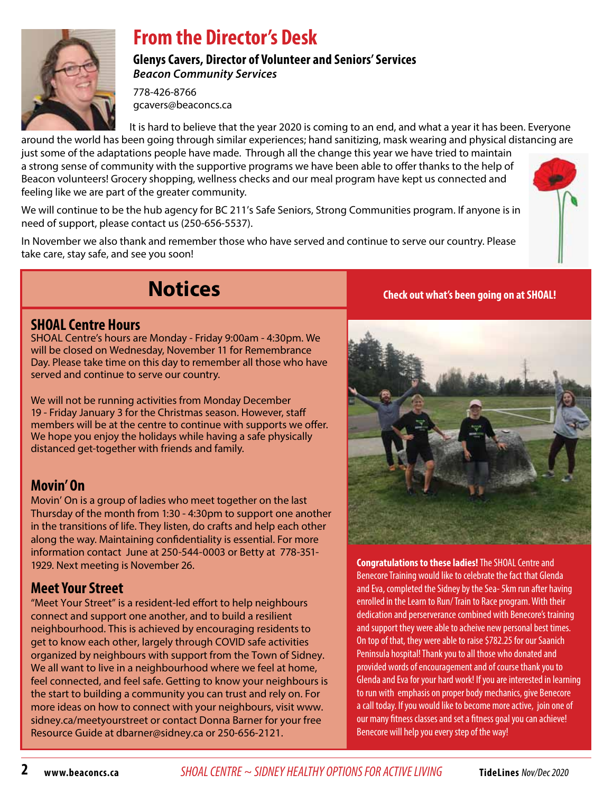

## **From the Director's Desk**

**Glenys Cavers, Director of Volunteer and Seniors' Services** *Beacon Community Services*

778-426-8766 gcavers@beaconcs.ca

It is hard to believe that the year 2020 is coming to an end, and what a year it has been. Everyone around the world has been going through similar experiences; hand sanitizing, mask wearing and physical distancing are

just some of the adaptations people have made. Through all the change this year we have tried to maintain a strong sense of community with the supportive programs we have been able to offer thanks to the help of Beacon volunteers! Grocery shopping, wellness checks and our meal program have kept us connected and feeling like we are part of the greater community.

We will continue to be the hub agency for BC 211's Safe Seniors, Strong Communities program. If anyone is in need of support, please contact us (250-656-5537).

In November we also thank and remember those who have served and continue to serve our country. Please take care, stay safe, and see you soon!



# **Notices**

#### **SHOAL Centre Hours**

SHOAL Centre's hours are Monday - Friday 9:00am - 4:30pm. We will be closed on Wednesday, November 11 for Remembrance Day. Please take time on this day to remember all those who have served and continue to serve our country.

We will not be running activities from Monday December 19 - Friday January 3 for the Christmas season. However, staff members will be at the centre to continue with supports we offer. We hope you enjoy the holidays while having a safe physically distanced get-together with friends and family.

#### **Movin' On**

Movin' On is a group of ladies who meet together on the last Thursday of the month from 1:30 - 4:30pm to support one another in the transitions of life. They listen, do crafts and help each other along the way. Maintaining confidentiality is essential. For more information contact June at 250-544-0003 or Betty at 778-351- 1929. Next meeting is November 26.

#### **Meet Your Street**

"Meet Your Street" is a resident-led effort to help neighbours connect and support one another, and to build a resilient neighbourhood. This is achieved by encouraging residents to get to know each other, largely through COVID safe activities organized by neighbours with support from the Town of Sidney. We all want to live in a neighbourhood where we feel at home, feel connected, and feel safe. Getting to know your neighbours is the start to building a community you can trust and rely on. For more ideas on how to connect with your neighbours, visit www. sidney.ca/meetyourstreet or contact Donna Barner for your free Resource Guide at dbarner@sidney.ca or 250-656-2121.

**Check out what's been going on at SHOAL!**



**Congratulations to these ladies!** The SHOAL Centre and Benecore Training would like to celebrate the fact that Glenda and Eva, completed the Sidney by the Sea- 5km run after having enrolled in the Learn to Run/ Train to Race program. With their dedication and perserverance combined with Benecore's training and support they were able to acheive new personal best times. On top of that, they were able to raise \$782.25 for our Saanich Peninsula hospital! Thank you to all those who donated and provided words of encouragement and of course thank you to Glenda and Eva for your hard work! If you are interested in learning to run with emphasis on proper body mechanics, give Benecore a call today. If you would like to become more active, join one of our many fitness classes and set a fitness goal you can achieve! Benecore will help you every step of the way!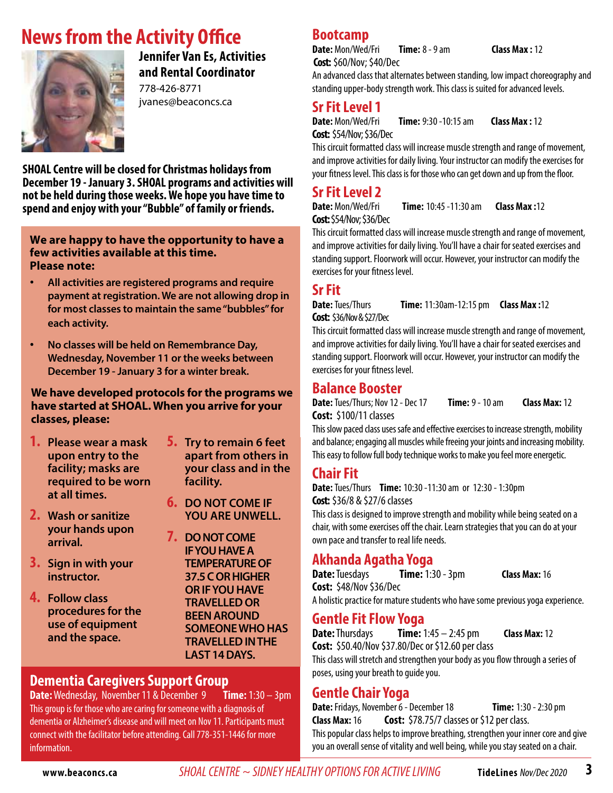## **News from the Activity Office**



**Jennifer Van Es, Activities and Rental Coordinator** 778-426-8771

jvanes@beaconcs.ca

**SHOAL Centre will be closed for Christmas holidays from December 19 - January 3. SHOAL programs and activities will not be held during those weeks. We hope you have time to spend and enjoy with your "Bubble" of family or friends.**

#### **We are happy to have the opportunity to have a few activities available at this time. Please note:**

- • **All activities are registered programs and require payment at registration. We are not allowing drop in for most classes to maintain the same "bubbles" for each activity.**
- • **No classes will be held on Remembrance Day, Wednesday, November 11 or the weeks between December 19 - January 3 for a winter break.**

#### **We have developed protocols for the programs we have started at SHOAL. When you arrive for your classes, please:**

- **1. Please wear a mask upon entry to the facility; masks are required to be worn at all times.**
- **2. Wash or sanitize your hands upon arrival.**
- **3. Sign in with your instructor.**
- **4. Follow class procedures for the use of equipment and the space.**

#### **5. Try to remain 6 feet apart from others in your class and in the facility.**

- **6. DO NOT COME IF YOU ARE UNWELL.**
- **7. DO NOT COME IF YOU HAVE A TEMPERATURE OF 37.5 C OR HIGHER or ifyouhave travelled or BEEN AROUND someonewho has travelledinthe last 14 days.**

# **Dementia Caregivers Support Group**

**Date:** Wednesday, November 11 & December 9 This group is for those who are caring for someone with a diagnosis of dementia or Alzheimer's disease and will meet on Nov 11. Participants must connect with the facilitator before attending. Call 778-351-1446 for more information.

#### **Bootcamp**

**Date:** Mon/Wed/Fri **Time:** 8 - 9 am **Class Max :** 12 **Cost:** \$60/Nov; \$40/Dec

An advanced class that alternates between standing, low impact choreography and standing upper-body strength work. This class is suited for advanced levels.

#### **Sr Fit Level 1**

**Cost:** \$54/Nov; \$36/Dec

**Date:** Mon/Wed/Fri **Time:** 9:30 -10:15 am **Class Max :** 12

This circuit formatted class will increase muscle strength and range of movement, and improve activities for daily living. Your instructor can modify the exercises for your fitness level. This class is for those who can get down and up from the floor.

#### **Sr Fit Level 2**

**Date:** Mon/Wed/Fri **Time:** 10:45 -11:30 am **Class Max :**12 **Cost:** \$54/Nov; \$36/Dec

This circuit formatted class will increase muscle strength and range of movement, and improve activities for daily living. You'll have a chair for seated exercises and standing support. Floorwork will occur. However, your instructor can modify the exercises for your fitness level.

#### **Sr Fit**

**Date:** Tues/Thurs **Time:** 11:30am-12:15 pm **Class Max :**12 **Cost:** \$36/Nov & \$27/Dec

This circuit formatted class will increase muscle strength and range of movement, and improve activities for daily living. You'll have a chair for seated exercises and standing support. Floorwork will occur. However, your instructor can modify the exercises for your fitness level.

#### **Balance Booster**

**Date:** Tues/Thurs; Nov 12 - Dec 17 **Time:** 9 - 10 am **Class Max:** 12 **Cost:** \$100/11 classes

This slow paced class uses safe and effective exercises to increase strength, mobility and balance; engaging all muscles while freeing your joints and increasing mobility. This easy to follow full body technique works to make you feel more energetic.

#### **Chair Fit**

**Date:** Tues/Thurs **Time:** 10:30 -11:30 am or 12:30 - 1:30pm **Cost:** \$36/8 & \$27/6 classes

This class is designed to improve strength and mobility while being seated on a chair, with some exercises off the chair. Learn strategies that you can do at your own pace and transfer to real life needs.

#### **Akhanda Agatha Yoga**

**Date:** Tuesdays **Time:** 1:30 - 3pm **Class Max:** 16 **Cost:** \$48/Nov \$36/Dec

A holistic practice for mature students who have some previous yoga experience.

#### **Gentle Fit Flow Yoga**

**Date:** Thursdays **Time:** 1:45 – 2:45 pm **Class Max:** 12 **Cost:** \$50.40/Nov \$37.80/Dec or \$12.60 per class This class will stretch and strengthen your body as you flow through a series of poses, using your breath to guide you.

#### **Gentle Chair Yoga**

**Date:**Fridays, November 6 - December 18 **Time:** 1:30 - 2:30 pm **Class Max:** 16 **Cost:** \$78.75/7 classes or \$12 per class. This popular class helps to improve breathing, strengthen your inner core and give you an overall sense of vitality and well being, while you stay seated on a chair.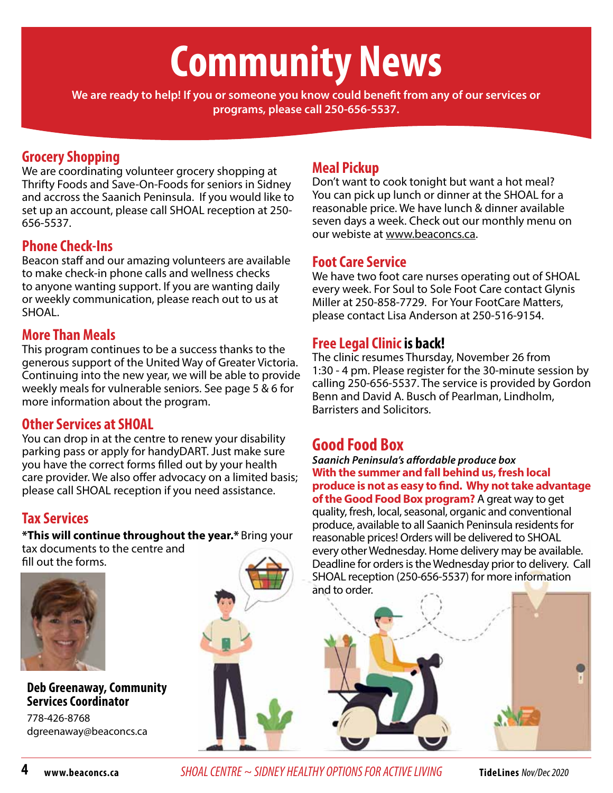# **Community News**

**We are ready to help! If you or someone you know could benefit from any of our services or programs, please call 250-656-5537.**

#### **Grocery Shopping**

We are coordinating volunteer grocery shopping at Thrifty Foods and Save-On-Foods for seniors in Sidney and accross the Saanich Peninsula. If you would like to set up an account, please call SHOAL reception at 250- 656-5537.

#### **Phone Check-Ins**

Beacon staff and our amazing volunteers are available to make check-in phone calls and wellness checks to anyone wanting support. If you are wanting daily or weekly communication, please reach out to us at SHOAL.

#### **More Than Meals**

This program continues to be a success thanks to the generous support of the United Way of Greater Victoria. Continuing into the new year, we will be able to provide weekly meals for vulnerable seniors. See page 5 & 6 for more information about the program.

#### **Other Services at SHOAL**

You can drop in at the centre to renew your disability parking pass or apply for handyDART. Just make sure you have the correct forms filled out by your health care provider. We also offer advocacy on a limited basis; please call SHOAL reception if you need assistance.

#### **Tax Services**

**\*This will continue throughout the year.\*** Bring your tax documents to the centre and fill out the forms.



#### **Deb Greenaway, Community Services Coordinator**

778-426-8768 dgreenaway@beaconcs.ca

# SHOAL reception (250-656-5537) for more information and to order.

#### **Meal Pickup**

Don't want to cook tonight but want a hot meal? You can pick up lunch or dinner at the SHOAL for a reasonable price. We have lunch & dinner available seven days a week. Check out our monthly menu on our webiste at www.beaconcs.ca.

#### **Foot Care Service**

We have two foot care nurses operating out of SHOAL every week. For Soul to Sole Foot Care contact Glynis Miller at 250-858-7729. For Your FootCare Matters, please contact Lisa Anderson at 250-516-9154.

#### **Free Legal Clinic is back!**

The clinic resumes Thursday, November 26 from 1:30 - 4 pm. Please register for the 30-minute session by calling 250-656-5537. The service is provided by Gordon Benn and David A. Busch of Pearlman, Lindholm, Barristers and Solicitors.

#### **Good Food Box**

*Saanich Peninsula's affordable produce box* **With the summer and fall behind us, fresh local produce is not as easy to find. Why not take advantage of the Good Food Box program?** A great way to get quality, fresh, local, seasonal, organic and conventional produce, available to all Saanich Peninsula residents for reasonable prices! Orders will be delivered to SHOAL every other Wednesday. Home delivery may be available. Deadline for orders is the Wednesday prior to delivery. Call

**4 www.beaconcs.ca** *SHOAL CENTRE ~ SIDNEY HEALTHY OPTIONS FOR ACTIVE LIVING* **TideLines** Nov/Dec 2020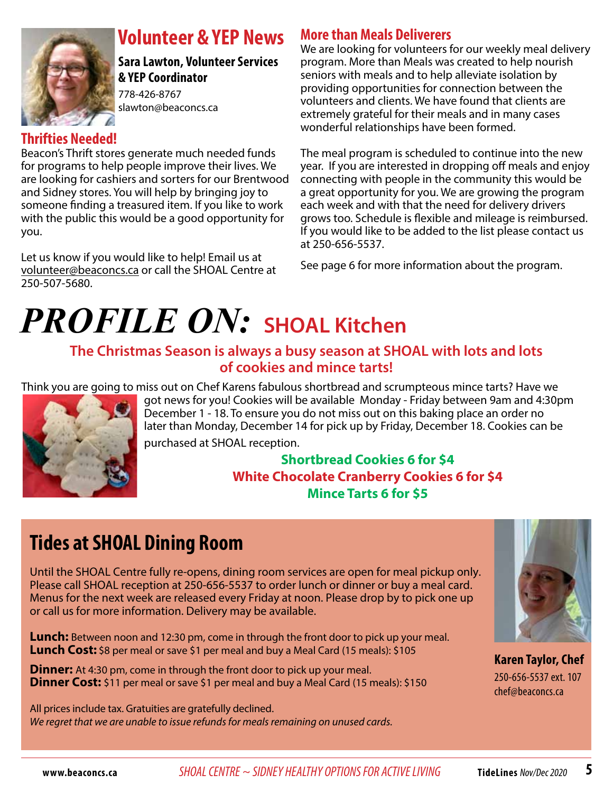

## **Volunteer & YEP News**

**Sara Lawton, Volunteer Services & YEP Coordinator** 

778-426-8767 slawton@beaconcs.ca

#### **Thrifties Needed!**

Beacon's Thrift stores generate much needed funds for programs to help people improve their lives. We are looking for cashiers and sorters for our Brentwood and Sidney stores. You will help by bringing joy to someone finding a treasured item. If you like to work with the public this would be a good opportunity for you.

Let us know if you would like to help! Email us at volunteer@beaconcs.ca or call the SHOAL Centre at 250-507-5680.

#### **More than Meals Deliverers**

We are looking for volunteers for our weekly meal delivery program. More than Meals was created to help nourish seniors with meals and to help alleviate isolation by providing opportunities for connection between the volunteers and clients. We have found that clients are extremely grateful for their meals and in many cases wonderful relationships have been formed.

The meal program is scheduled to continue into the new year. If you are interested in dropping off meals and enjoy connecting with people in the community this would be a great opportunity for you. We are growing the program each week and with that the need for delivery drivers grows too. Schedule is flexible and mileage is reimbursed. If you would like to be added to the list please contact us at 250-656-5537.

See page 6 for more information about the program.

# *PROFILE ON:* **SHOAL Kitchen**

#### **The Christmas Season is always a busy season at SHOAL with lots and lots of cookies and mince tarts!**

Think you are going to miss out on Chef Karens fabulous shortbread and scrumpteous mince tarts? Have we



got news for you! Cookies will be available Monday - Friday between 9am and 4:30pm December 1 - 18. To ensure you do not miss out on this baking place an order no later than Monday, December 14 for pick up by Friday, December 18. Cookies can be

purchased at SHOAL reception.

#### **Shortbread Cookies 6 for \$4 White Chocolate Cranberry Cookies 6 for \$4 Mince Tarts 6 for \$5**

# **Tides at SHOAL Dining Room**

Until the SHOAL Centre fully re-opens, dining room services are open for meal pickup only. Please call SHOAL reception at 250-656-5537 to order lunch or dinner or buy a meal card. Menus for the next week are released every Friday at noon. Please drop by to pick one up or call us for more information. Delivery may be available.

**Lunch:** Between noon and 12:30 pm, come in through the front door to pick up your meal. **Lunch Cost:** \$8 per meal or save \$1 per meal and buy a Meal Card (15 meals): \$105

**Dinner:** At 4:30 pm, come in through the front door to pick up your meal. **Dinner Cost:** \$11 per meal or save \$1 per meal and buy a Meal Card (15 meals): \$150

All prices include tax. Gratuities are gratefully declined. *We regret that we are unable to issue refunds for meals remaining on unused cards.*



**Karen Taylor, Chef**  250-656-5537 ext. 107 chef@beaconcs.ca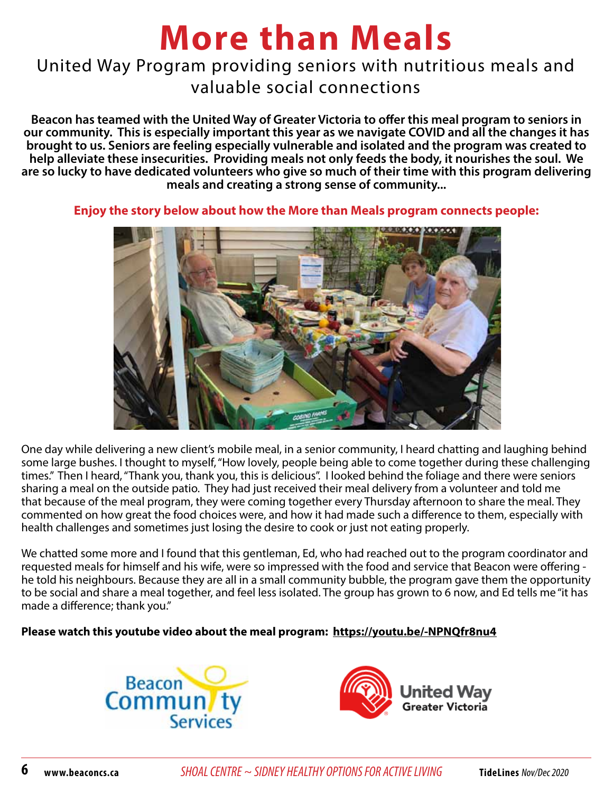# **More than Meals**

### United Way Program providing seniors with nutritious meals and valuable social connections

**Beacon has teamed with the United Way of Greater Victoria to offer this meal program to seniors in our community. This is especially important this year as we navigate COVID and all the changes it has brought to us. Seniors are feeling especially vulnerable and isolated and the program was created to help alleviate these insecurities. Providing meals not only feeds the body, it nourishes the soul. We are so lucky to have dedicated volunteers who give so much of their time with this program delivering meals and creating a strong sense of community...** 



**Enjoy the story below about how the More than Meals program connects people:**

One day while delivering a new client's mobile meal, in a senior community, I heard chatting and laughing behind some large bushes. I thought to myself, "How lovely, people being able to come together during these challenging times." Then I heard, "Thank you, thank you, this is delicious". I looked behind the foliage and there were seniors sharing a meal on the outside patio. They had just received their meal delivery from a volunteer and told me that because of the meal program, they were coming together every Thursday afternoon to share the meal. They commented on how great the food choices were, and how it had made such a difference to them, especially with health challenges and sometimes just losing the desire to cook or just not eating properly.

We chatted some more and I found that this gentleman, Ed, who had reached out to the program coordinator and requested meals for himself and his wife, were so impressed with the food and service that Beacon were offering he told his neighbours. Because they are all in a small community bubble, the program gave them the opportunity to be social and share a meal together, and feel less isolated. The group has grown to 6 now, and Ed tells me "it has made a difference; thank you."

#### **Please watch this youtube video about the meal program: https://youtu.be/-NPNQfr8nu4**



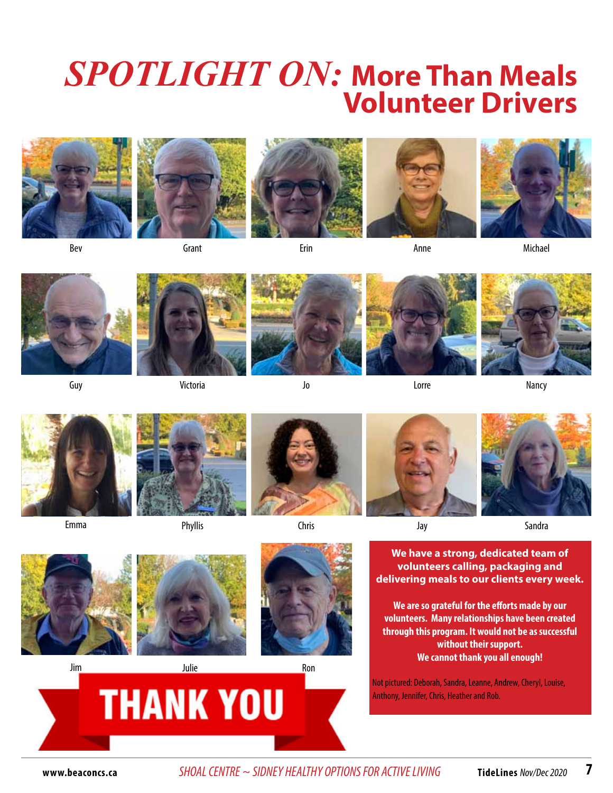# *SPOTLIGHT ON:* **More Than Meals Volunteer Drivers**







Anne



Michael

Bev

**Grant** 

Erin



Guy



Victoria





Jo



Lorre



Nancy



Emma





Chris







**Sandra** 







**We have a strong, dedicated team of volunteers calling, packaging and delivering meals to our clients every week.**

**We are so grateful for the efforts made by our volunteers. Many relationships have been created through this program. It would not be as successful without their support. We cannot thank you all enough!**

Not pictured: Deborah, Sandra, Leanne, Andrew, Cheryl, Louise, Anthony, Jennifer, Chris, Heather and Rob.



**www.beaconcs.ca** *SHOAL CENTRE ~ SIDNEY HEALTHY OPTIONS FOR ACTIVE LIVING* **TideLines** Nov/Dec 2020 **7**